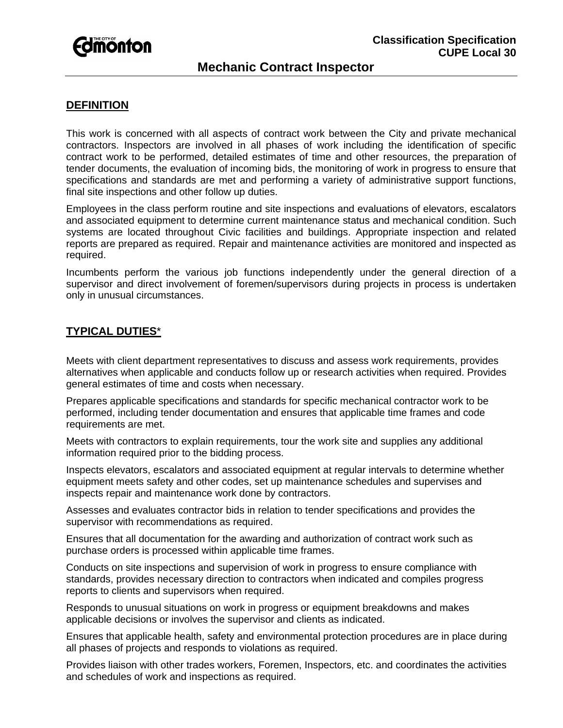

### **DEFINITION**

This work is concerned with all aspects of contract work between the City and private mechanical contractors. Inspectors are involved in all phases of work including the identification of specific contract work to be performed, detailed estimates of time and other resources, the preparation of tender documents, the evaluation of incoming bids, the monitoring of work in progress to ensure that specifications and standards are met and performing a variety of administrative support functions, final site inspections and other follow up duties.

Employees in the class perform routine and site inspections and evaluations of elevators, escalators and associated equipment to determine current maintenance status and mechanical condition. Such systems are located throughout Civic facilities and buildings. Appropriate inspection and related reports are prepared as required. Repair and maintenance activities are monitored and inspected as required.

Incumbents perform the various job functions independently under the general direction of a supervisor and direct involvement of foremen/supervisors during projects in process is undertaken only in unusual circumstances.

#### **TYPICAL DUTIES**\*

Meets with client department representatives to discuss and assess work requirements, provides alternatives when applicable and conducts follow up or research activities when required. Provides general estimates of time and costs when necessary.

Prepares applicable specifications and standards for specific mechanical contractor work to be performed, including tender documentation and ensures that applicable time frames and code requirements are met.

Meets with contractors to explain requirements, tour the work site and supplies any additional information required prior to the bidding process.

Inspects elevators, escalators and associated equipment at regular intervals to determine whether equipment meets safety and other codes, set up maintenance schedules and supervises and inspects repair and maintenance work done by contractors.

Assesses and evaluates contractor bids in relation to tender specifications and provides the supervisor with recommendations as required.

Ensures that all documentation for the awarding and authorization of contract work such as purchase orders is processed within applicable time frames.

Conducts on site inspections and supervision of work in progress to ensure compliance with standards, provides necessary direction to contractors when indicated and compiles progress reports to clients and supervisors when required.

Responds to unusual situations on work in progress or equipment breakdowns and makes applicable decisions or involves the supervisor and clients as indicated.

Ensures that applicable health, safety and environmental protection procedures are in place during all phases of projects and responds to violations as required.

Provides liaison with other trades workers, Foremen, Inspectors, etc. and coordinates the activities and schedules of work and inspections as required.